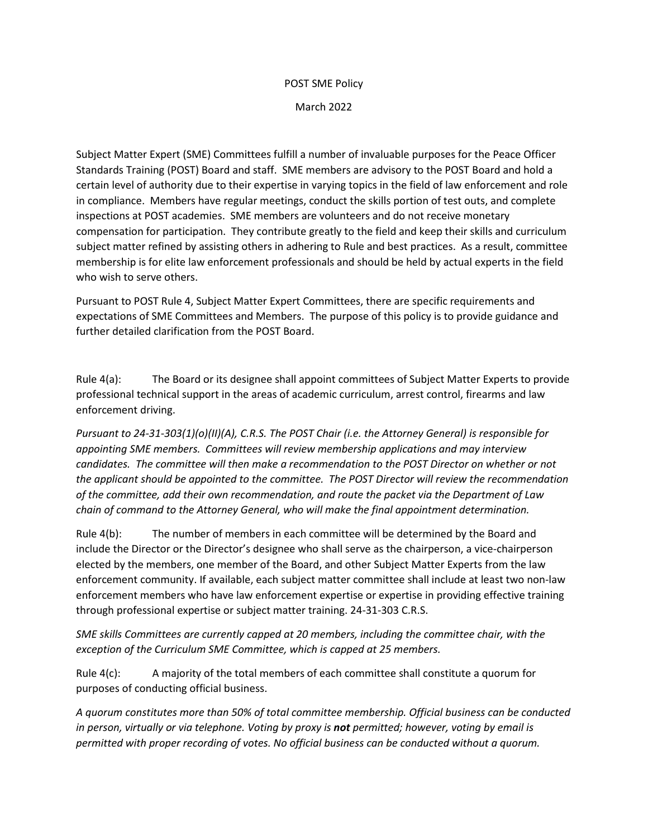## POST SME Policy

March 2022

Subject Matter Expert (SME) Committees fulfill a number of invaluable purposes for the Peace Officer Standards Training (POST) Board and staff. SME members are advisory to the POST Board and hold a certain level of authority due to their expertise in varying topics in the field of law enforcement and role in compliance. Members have regular meetings, conduct the skills portion of test outs, and complete inspections at POST academies. SME members are volunteers and do not receive monetary compensation for participation. They contribute greatly to the field and keep their skills and curriculum subject matter refined by assisting others in adhering to Rule and best practices. As a result, committee membership is for elite law enforcement professionals and should be held by actual experts in the field who wish to serve others.

Pursuant to POST Rule 4, Subject Matter Expert Committees, there are specific requirements and expectations of SME Committees and Members. The purpose of this policy is to provide guidance and further detailed clarification from the POST Board.

Rule 4(a): The Board or its designee shall appoint committees of Subject Matter Experts to provide professional technical support in the areas of academic curriculum, arrest control, firearms and law enforcement driving.

*Pursuant to 24-31-303(1)(o)(II)(A), C.R.S. The POST Chair (i.e. the Attorney General) is responsible for appointing SME members. Committees will review membership applications and may interview candidates. The committee will then make a recommendation to the POST Director on whether or not the applicant should be appointed to the committee. The POST Director will review the recommendation of the committee, add their own recommendation, and route the packet via the Department of Law chain of command to the Attorney General, who will make the final appointment determination.*

Rule 4(b): The number of members in each committee will be determined by the Board and include the Director or the Director's designee who shall serve as the chairperson, a vice-chairperson elected by the members, one member of the Board, and other Subject Matter Experts from the law enforcement community. If available, each subject matter committee shall include at least two non-law enforcement members who have law enforcement expertise or expertise in providing effective training through professional expertise or subject matter training. 24-31-303 C.R.S.

*SME skills Committees are currently capped at 20 members, including the committee chair, with the exception of the Curriculum SME Committee, which is capped at 25 members.*

Rule 4(c): A majority of the total members of each committee shall constitute a quorum for purposes of conducting official business.

*A quorum constitutes more than 50% of total committee membership. Official business can be conducted in person, virtually or via telephone. Voting by proxy is not permitted; however, voting by email is permitted with proper recording of votes. No official business can be conducted without a quorum.*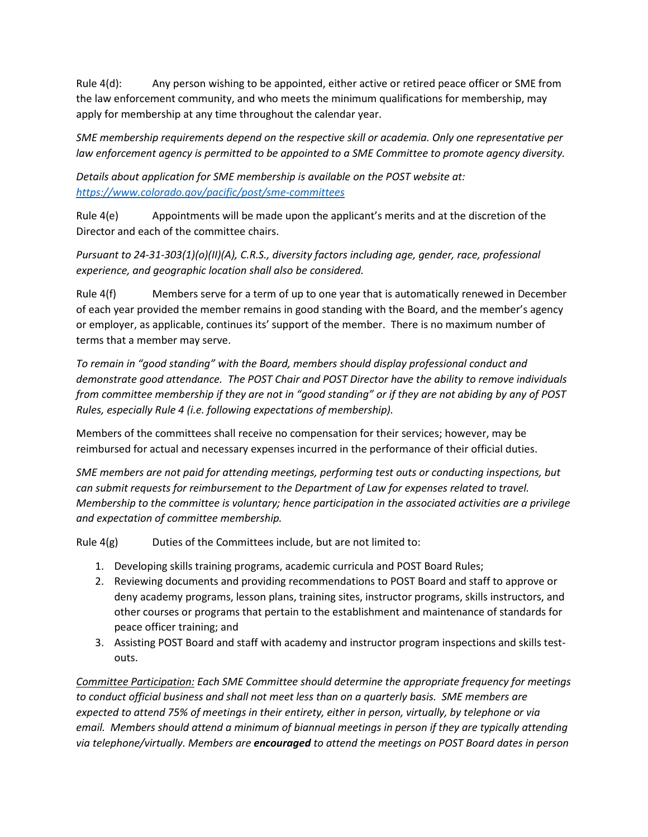Rule 4(d): Any person wishing to be appointed, either active or retired peace officer or SME from the law enforcement community, and who meets the minimum qualifications for membership, may apply for membership at any time throughout the calendar year.

*SME membership requirements depend on the respective skill or academia. Only one representative per law enforcement agency is permitted to be appointed to a SME Committee to promote agency diversity.*

*Details about application for SME membership is available on the POST website at: <https://www.colorado.gov/pacific/post/sme-committees>*

Rule 4(e) Appointments will be made upon the applicant's merits and at the discretion of the Director and each of the committee chairs.

*Pursuant to 24-31-303(1)(o)(II)(A), C.R.S., diversity factors including age, gender, race, professional experience, and geographic location shall also be considered.*

Rule 4(f) Members serve for a term of up to one year that is automatically renewed in December of each year provided the member remains in good standing with the Board, and the member's agency or employer, as applicable, continues its' support of the member. There is no maximum number of terms that a member may serve.

*To remain in "good standing" with the Board, members should display professional conduct and demonstrate good attendance. The POST Chair and POST Director have the ability to remove individuals from committee membership if they are not in "good standing" or if they are not abiding by any of POST Rules, especially Rule 4 (i.e. following expectations of membership).* 

Members of the committees shall receive no compensation for their services; however, may be reimbursed for actual and necessary expenses incurred in the performance of their official duties.

*SME members are not paid for attending meetings, performing test outs or conducting inspections, but can submit requests for reimbursement to the Department of Law for expenses related to travel. Membership to the committee is voluntary; hence participation in the associated activities are a privilege and expectation of committee membership.* 

Rule  $4(g)$  Duties of the Committees include, but are not limited to:

- 1. Developing skills training programs, academic curricula and POST Board Rules;
- 2. Reviewing documents and providing recommendations to POST Board and staff to approve or deny academy programs, lesson plans, training sites, instructor programs, skills instructors, and other courses or programs that pertain to the establishment and maintenance of standards for peace officer training; and
- 3. Assisting POST Board and staff with academy and instructor program inspections and skills testouts.

*Committee Participation: Each SME Committee should determine the appropriate frequency for meetings to conduct official business and shall not meet less than on a quarterly basis. SME members are expected to attend 75% of meetings in their entirety, either in person, virtually, by telephone or via email. Members should attend a minimum of biannual meetings in person if they are typically attending via telephone/virtually. Members are encouraged to attend the meetings on POST Board dates in person*